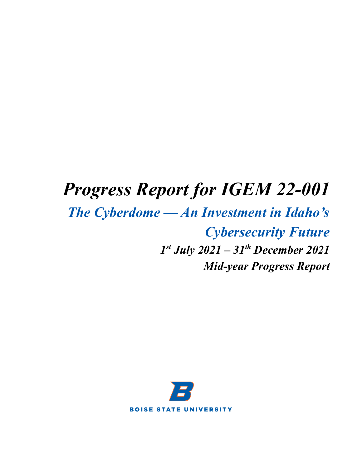# *Progress Report for IGEM 22-001*

# *The Cyberdome — An Investment in Idaho's Cybersecurity Future 1 st July 2021 – 31 th December 2021 Mid-year Progress Report*

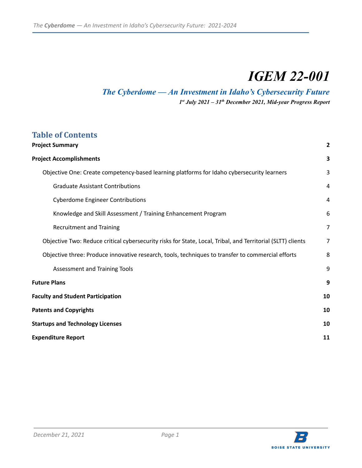## *IGEM 22-001*

## *The Cyberdome — An Investment in Idaho's Cybersecurity Future*

*1 st July 2021 – 31 th December 2021, Mid-year Progress Report*

## **Table of Contents**

| <b>Project Summary</b>                                                                                      | 2              |
|-------------------------------------------------------------------------------------------------------------|----------------|
| <b>Project Accomplishments</b>                                                                              | $\mathbf{3}$   |
| Objective One: Create competency-based learning platforms for Idaho cybersecurity learners                  | 3              |
| <b>Graduate Assistant Contributions</b>                                                                     | 4              |
| <b>Cyberdome Engineer Contributions</b>                                                                     | 4              |
| Knowledge and Skill Assessment / Training Enhancement Program                                               | 6              |
| <b>Recruitment and Training</b>                                                                             | $\overline{7}$ |
| Objective Two: Reduce critical cybersecurity risks for State, Local, Tribal, and Territorial (SLTT) clients | $\overline{7}$ |
| Objective three: Produce innovative research, tools, techniques to transfer to commercial efforts           | 8              |
| <b>Assessment and Training Tools</b>                                                                        | 9              |
| <b>Future Plans</b>                                                                                         | 9              |
| <b>Faculty and Student Participation</b>                                                                    | 10             |
| <b>Patents and Copyrights</b>                                                                               | 10             |
| <b>Startups and Technology Licenses</b>                                                                     | 10             |
| <b>Expenditure Report</b>                                                                                   | 11             |

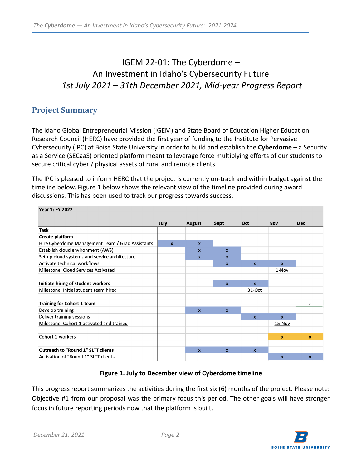## IGEM 22-01: The Cyberdome – An Investment in Idaho's Cybersecurity Future *1st July 2021 – 31th December 2021, Mid-year Progress Report*

## <span id="page-2-0"></span>**Project Summary**

The Idaho Global Entrepreneurial Mission (IGEM) and State Board of Education Higher Education Research Council (HERC) have provided the first year of funding to the Institute for Pervasive Cybersecurity (IPC) at Boise State University in order to build and establish the **Cyberdome** – a Security as a Service (SECaaS) oriented platform meant to leverage force multiplying efforts of our students to secure critical cyber / physical assets of rural and remote clients.

The IPC is pleased to inform HERC that the project is currently on-track and within budget against the timeline below. Figure 1 below shows the relevant view of the timeline provided during award discussions. This has been used to track our progress towards success.

| Year 1: FY'2022                                  |              |                  |                           |                  |              |                  |
|--------------------------------------------------|--------------|------------------|---------------------------|------------------|--------------|------------------|
|                                                  | July         | <b>August</b>    | Sept                      | Oct              | <b>Nov</b>   | <b>Dec</b>       |
| Task                                             |              |                  |                           |                  |              |                  |
| Create platform                                  |              |                  |                           |                  |              |                  |
| Hire Cyberdome Management Team / Grad Assistants | $\mathbf{x}$ | $\boldsymbol{x}$ |                           |                  |              |                  |
| Establish cloud environment (AWS)                |              | $\mathbf{x}$     | $\mathbf{x}$              |                  |              |                  |
| Set up cloud systems and service architecture    |              | $\boldsymbol{x}$ | $\boldsymbol{\mathsf{x}}$ |                  |              |                  |
| Activate technical workflows                     |              |                  | $\boldsymbol{x}$          | $\mathbf{x}$     | $\mathbf{x}$ |                  |
| Milestone: Cloud Services Activated              |              |                  |                           |                  | $1 - Nov$    |                  |
|                                                  |              |                  |                           |                  |              |                  |
| Initiate hiring of student workers               |              |                  | $\mathsf{x}$              | $\boldsymbol{x}$ |              |                  |
| Milestone: Initial student team hired            |              |                  |                           | 31-Oct           |              |                  |
|                                                  |              |                  |                           |                  |              |                  |
| <b>Training for Cohort 1 team</b>                |              |                  |                           |                  |              |                  |
| Develop training                                 |              | $\boldsymbol{x}$ | $\mathbf{x}$              |                  |              |                  |
| Deliver training sessions                        |              |                  |                           | $\mathbf{x}$     | $\mathbf{x}$ |                  |
| Milestone: Cohort 1 activated and trained        |              |                  |                           |                  | 15-Nov       |                  |
|                                                  |              |                  |                           |                  |              |                  |
| Cohort 1 workers                                 |              |                  |                           |                  | $\mathbf{x}$ | $\mathbf{x}$     |
|                                                  |              |                  |                           |                  |              |                  |
| <b>Outreach to "Round 1" SLTT clients</b>        |              | $\mathbf{x}$     | $\mathbf{x}$              | $\mathbf{x}$     |              |                  |
| Activation of "Round 1" SLTT clients             |              |                  |                           |                  | $\mathbf{x}$ | $\boldsymbol{x}$ |

#### **Figure 1. July to December view of Cyberdome timeline**

This progress report summarizes the activities during the first six (6) months of the project. Please note: Objective #1 from our proposal was the primary focus this period. The other goals will have stronger focus in future reporting periods now that the platform is built.

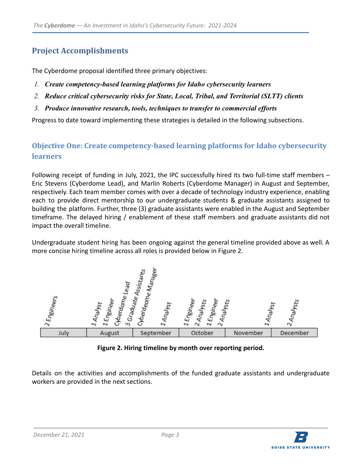## <span id="page-3-0"></span>**Project Accomplishments**

The Cyberdome proposal identified three primary objectives:

- *1. Create competency-based learning platforms for Idaho cybersecurity learners*
- *2. Reduce critical cybersecurity risks for State, Local, Tribal, and Territorial (SLTT) clients*
- *3. Produce innovative research, tools, techniques to transfer to commercial efforts*

Progress to date toward implementing these strategies is detailed in the following subsections.

### <span id="page-3-1"></span>**Objective One: Create competency-based learning platforms for Idaho cybersecurity learners**

Following receipt of funding in July, 2021, the IPC successfully hired its two full-time staff members – Eric Stevens (Cyberdome Lead), and Marlin Roberts (Cyberdome Manager) in August and September, respectively. Each team member comes with over a decade of technology industry experience, enabling each to provide direct mentorship to our undergraduate students & graduate assistants assigned to building the platform. Further, three (3) graduate assistants were enabled in the August and September timeframe. The delayed hiring / enablement of these staff members and graduate assistants did not impact the overall timeline.

Undergraduate student hiring has been ongoing against the general timeline provided above as well. A more concise hiring timeline across all roles is provided below in Figure 2.



**Figure 2. Hiring timeline by month over reporting period.**

Details on the activities and accomplishments of the funded graduate assistants and undergraduate workers are provided in the next sections.

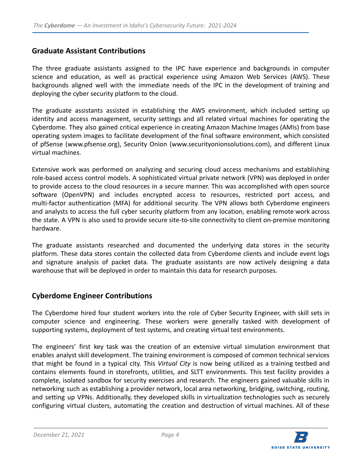#### <span id="page-4-0"></span>**Graduate Assistant Contributions**

The three graduate assistants assigned to the IPC have experience and backgrounds in computer science and education, as well as practical experience using Amazon Web Services (AWS). These backgrounds aligned well with the immediate needs of the IPC in the development of training and deploying the cyber security platform to the cloud.

The graduate assistants assisted in establishing the AWS environment, which included setting up identity and access management, security settings and all related virtual machines for operating the Cyberdome. They also gained critical experience in creating Amazon Machine Images (AMIs) from base operating system images to facilitate development of the final software environment, which consisted of pfSense (www.pfsense.org), Security Onion (www.securityonionsolutions.com), and different Linux virtual machines.

Extensive work was performed on analyzing and securing cloud access mechanisms and establishing role-based access control models. A sophisticated virtual private network (VPN) was deployed in order to provide access to the cloud resources in a secure manner. This was accomplished with open source software (OpenVPN) and includes encrypted access to resources, restricted port access, and multi-factor authentication (MFA) for additional security. The VPN allows both Cyberdome engineers and analysts to access the full cyber security platform from any location, enabling remote work across the state. A VPN is also used to provide secure site-to-site connectivity to client on-premise monitoring hardware.

The graduate assistants researched and documented the underlying data stores in the security platform. These data stores contain the collected data from Cyberdome clients and include event logs and signature analysis of packet data. The graduate assistants are now actively designing a data warehouse that will be deployed in order to maintain this data for research purposes.

#### <span id="page-4-1"></span>**Cyberdome Engineer Contributions**

The Cyberdome hired four student workers into the role of Cyber Security Engineer, with skill sets in computer science and engineering. These workers were generally tasked with development of supporting systems, deployment of test systems, and creating virtual test environments.

The engineers' first key task was the creation of an extensive virtual simulation environment that enables analyst skill development. The training environment is composed of common technical services that might be found in a typical city. This *Virtual City* is now being utilized as a training testbed and contains elements found in storefronts, utilities, and SLTT environments. This test facility provides a complete, isolated sandbox for security exercises and research. The engineers gained valuable skills in networking such as establishing a provider network, local area networking, bridging, switching, routing, and setting up VPNs. Additionally, they developed skills in virtualization technologies such as securely configuring virtual clusters, automating the creation and destruction of virtual machines. All of these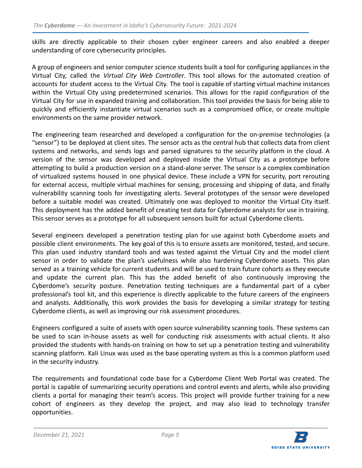skills are directly applicable to their chosen cyber engineer careers and also enabled a deeper understanding of core cybersecurity principles.

A group of engineers and senior computer science students built a tool for configuring appliances in the Virtual City, called the *Virtual City Web Controller*. This tool allows for the automated creation of accounts for student access to the Virtual City. The tool is capable of starting virtual machine instances within the Virtual City using predetermined scenarios. This allows for the rapid configuration of the Virtual City for use in expanded training and collaboration. This tool provides the basis for being able to quickly and efficiently instantiate virtual scenarios such as a compromised office, or create multiple environments on the same provider network.

The engineering team researched and developed a configuration for the on-premise technologies (a "sensor") to be deployed at client sites. The sensor acts as the central hub that collects data from client systems and networks, and sends logs and parsed signatures to the security platform in the cloud. A version of the sensor was developed and deployed inside the Virtual City as a prototype before attempting to build a production version on a stand-alone server. The sensor is a complex combination of virtualized systems housed in one physical device. These include a VPN for security, port rerouting for external access, multiple virtual machines for sensing, processing and shipping of data, and finally vulnerability scanning tools for investigating alerts. Several prototypes of the sensor were developed before a suitable model was created. Ultimately one was deployed to monitor the Virtual City itself. This deployment has the added benefit of creating test data for Cyberdome analysts for use in training. This sensor serves as a prototype for all subsequent sensors built for actual Cyberdome clients.

Several engineers developed a penetration testing plan for use against both Cyberdome assets and possible client environments. The key goal of this is to ensure assets are monitored, tested, and secure. This plan used industry standard tools and was tested against the Virtual City and the model client sensor in order to validate the plan's usefulness while also hardening Cyberdome assets. This plan served as a training vehicle for current students and will be used to train future cohorts as they execute and update the current plan. This has the added benefit of also continuously improving the Cyberdome's security posture. Penetration testing techniques are a fundamental part of a cyber professional's tool kit, and this experience is directly applicable to the future careers of the engineers and analysts. Additionally, this work provides the basis for developing a similar strategy for testing Cyberdome clients, as well as improving our risk assessment procedures.

Engineers configured a suite of assets with open source vulnerability scanning tools. These systems can be used to scan in-house assets as well for conducting risk assessments with actual clients. It also provided the students with hands-on training on how to set up a penetration testing and vulnerability scanning platform. Kali Linux was used as the base operating system as this is a common platform used in the security industry.

The requirements and foundational code base for a Cyberdome Client Web Portal was created. The portal is capable of summarizing security operations and control events and alerts, while also providing clients a portal for managing their team's access. This project will provide further training for a new cohort of engineers as they develop the project, and may also lead to technology transfer opportunities.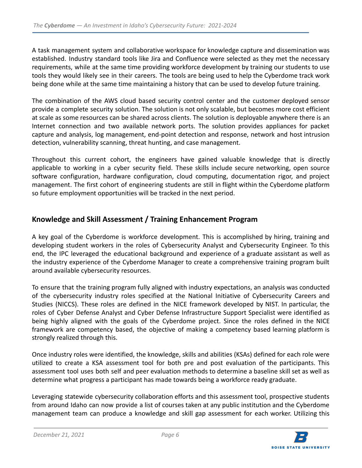A task management system and collaborative workspace for knowledge capture and dissemination was established. Industry standard tools like Jira and Confluence were selected as they met the necessary requirements, while at the same time providing workforce development by training our students to use tools they would likely see in their careers. The tools are being used to help the Cyberdome track work being done while at the same time maintaining a history that can be used to develop future training.

The combination of the AWS cloud based security control center and the customer deployed sensor provide a complete security solution. The solution is not only scalable, but becomes more cost efficient at scale as some resources can be shared across clients. The solution is deployable anywhere there is an Internet connection and two available network ports. The solution provides appliances for packet capture and analysis, log management, end-point detection and response, network and host intrusion detection, vulnerability scanning, threat hunting, and case management.

Throughout this current cohort, the engineers have gained valuable knowledge that is directly applicable to working in a cyber security field. These skills include secure networking, open source software configuration, hardware configuration, cloud computing, documentation rigor, and project management. The first cohort of engineering students are still in flight within the Cyberdome platform so future employment opportunities will be tracked in the next period.

#### <span id="page-6-0"></span>**Knowledge and Skill Assessment / Training Enhancement Program**

A key goal of the Cyberdome is workforce development. This is accomplished by hiring, training and developing student workers in the roles of Cybersecurity Analyst and Cybersecurity Engineer. To this end, the IPC leveraged the educational background and experience of a graduate assistant as well as the industry experience of the Cyberdome Manager to create a comprehensive training program built around available cybersecurity resources.

To ensure that the training program fully aligned with industry expectations, an analysis was conducted of the cybersecurity industry roles specified at the National Initiative of Cybersecurity Careers and Studies (NICCS). These roles are defined in the NICE framework developed by NIST. In particular, the roles of Cyber Defense Analyst and Cyber Defense Infrastructure Support Specialist were identified as being highly aligned with the goals of the Cyberdome project. Since the roles defined in the NICE framework are competency based, the objective of making a competency based learning platform is strongly realized through this.

Once industry roles were identified, the knowledge, skills and abilities (KSAs) defined for each role were utilized to create a KSA assessment tool for both pre and post evaluation of the participants. This assessment tool uses both self and peer evaluation methods to determine a baseline skill set as well as determine what progress a participant has made towards being a workforce ready graduate.

Leveraging statewide cybersecurity collaboration efforts and this assessment tool, prospective students from around Idaho can now provide a list of courses taken at any public institution and the Cyberdome management team can produce a knowledge and skill gap assessment for each worker. Utilizing this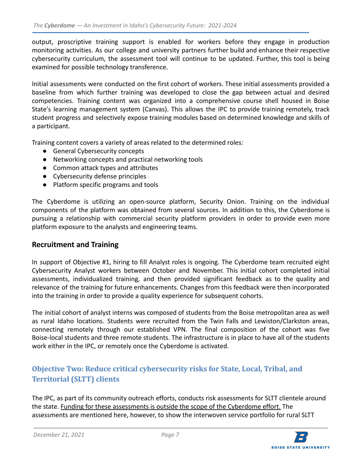output, proscriptive training support is enabled for workers before they engage in production monitoring activities. As our college and university partners further build and enhance their respective cybersecurity curriculum, the assessment tool will continue to be updated. Further, this tool is being examined for possible technology transference.

Initial assessments were conducted on the first cohort of workers. These initial assessments provided a baseline from which further training was developed to close the gap between actual and desired competencies. Training content was organized into a comprehensive course shell housed in Boise State's learning management system (Canvas). This allows the IPC to provide training remotely, track student progress and selectively expose training modules based on determined knowledge and skills of a participant.

Training content covers a variety of areas related to the determined roles:

- General Cybersecurity concepts
- Networking concepts and practical networking tools
- Common attack types and attributes
- Cybersecurity defense principles
- Platform specific programs and tools

The Cyberdome is utilizing an open-source platform, Security Onion. Training on the individual components of the platform was obtained from several sources. In addition to this, the Cyberdome is pursuing a relationship with commercial security platform providers in order to provide even more platform exposure to the analysts and engineering teams.

#### <span id="page-7-0"></span>**Recruitment and Training**

In support of Objective #1, hiring to fill Analyst roles is ongoing. The Cyberdome team recruited eight Cybersecurity Analyst workers between October and November. This initial cohort completed initial assessments, individualized training, and then provided significant feedback as to the quality and relevance of the training for future enhancements. Changes from this feedback were then incorporated into the training in order to provide a quality experience for subsequent cohorts.

The initial cohort of analyst interns was composed of students from the Boise metropolitan area as well as rural Idaho locations. Students were recruited from the Twin Falls and Lewiston/Clarkston areas, connecting remotely through our established VPN. The final composition of the cohort was five Boise-local students and three remote students. The infrastructure is in place to have all of the students work either in the IPC, or remotely once the Cyberdome is activated.

## <span id="page-7-1"></span>**Objective Two: Reduce critical cybersecurity risks for State, Local, Tribal, and Territorial (SLTT) clients**

The IPC, as part of its community outreach efforts, conducts risk assessments for SLTT clientele around the state. Funding for these assessments is outside the scope of the Cyberdome effort. The assessments are mentioned here, however, to show the interwoven service portfolio for rural SLTT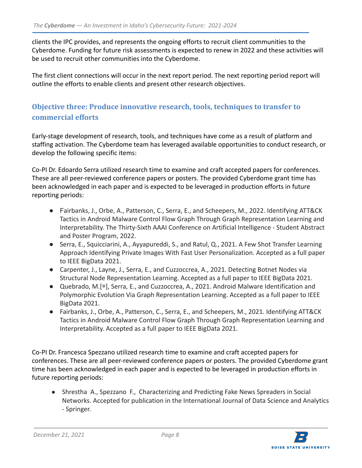clients the IPC provides, and represents the ongoing efforts to recruit client communities to the Cyberdome. Funding for future risk assessments is expected to renew in 2022 and these activities will be used to recruit other communities into the Cyberdome.

The first client connections will occur in the next report period. The next reporting period report will outline the efforts to enable clients and present other research objectives.

### <span id="page-8-0"></span>**Objective three: Produce innovative research, tools, techniques to transfer to commercial efforts**

Early-stage development of research, tools, and techniques have come as a result of platform and staffing activation. The Cyberdome team has leveraged available opportunities to conduct research, or develop the following specific items:

Co-PI Dr. Edoardo Serra utilized research time to examine and craft accepted papers for conferences. These are all peer-reviewed conference papers or posters. The provided Cyberdome grant time has been acknowledged in each paper and is expected to be leveraged in production efforts in future reporting periods:

- Fairbanks, J., Orbe, A., Patterson, C., Serra, E., and Scheepers, M., 2022. Identifying ATT&CK Tactics in Android Malware Control Flow Graph Through Graph Representation Learning and Interpretability. The Thirty-Sixth AAAI Conference on Artificial Intelligence - Student Abstract and Poster Program, 2022.
- Serra, E., Squicciarini, A., Ayyapureddi, S., and Ratul, Q., 2021. A Few Shot Transfer Learning Approach Identifying Private Images With Fast User Personalization. Accepted as a full paper to IEEE BigData 2021.
- Carpenter, J., Layne, J., Serra, E., and Cuzzoccrea, A., 2021. Detecting Botnet Nodes via Structural Node Representation Learning. Accepted as a full paper to IEEE BigData 2021.
- Quebrado, M.[∗], Serra, E., and Cuzzoccrea, A., 2021. Android Malware Identification and Polymorphic Evolution Via Graph Representation Learning. Accepted as a full paper to IEEE BigData 2021.
- Fairbanks, J., Orbe, A., Patterson, C., Serra, E., and Scheepers, M., 2021. Identifying ATT&CK Tactics in Android Malware Control Flow Graph Through Graph Representation Learning and Interpretability. Accepted as a full paper to IEEE BigData 2021.

Co-PI Dr. Francesca Spezzano utilized research time to examine and craft accepted papers for conferences. These are all peer-reviewed conference papers or posters. The provided Cyberdome grant time has been acknowledged in each paper and is expected to be leveraged in production efforts in future reporting periods:

● Shrestha A., Spezzano F., Characterizing and Predicting Fake News Spreaders in Social Networks. Accepted for publication in the International Journal of Data Science and Analytics - Springer.

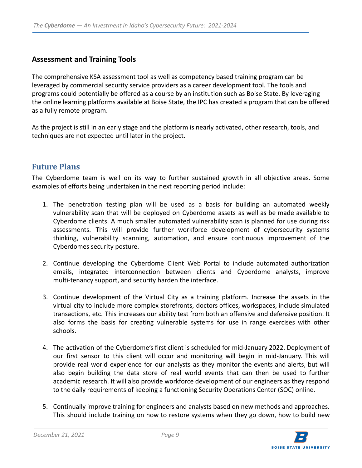#### <span id="page-9-0"></span>**Assessment and Training Tools**

The comprehensive KSA assessment tool as well as competency based training program can be leveraged by commercial security service providers as a career development tool. The tools and programs could potentially be offered as a course by an institution such as Boise State. By leveraging the online learning platforms available at Boise State, the IPC has created a program that can be offered as a fully remote program.

As the project is still in an early stage and the platform is nearly activated, other research, tools, and techniques are not expected until later in the project.

#### <span id="page-9-1"></span>**Future Plans**

The Cyberdome team is well on its way to further sustained growth in all objective areas. Some examples of efforts being undertaken in the next reporting period include:

- 1. The penetration testing plan will be used as a basis for building an automated weekly vulnerability scan that will be deployed on Cyberdome assets as well as be made available to Cyberdome clients. A much smaller automated vulnerability scan is planned for use during risk assessments. This will provide further workforce development of cybersecurity systems thinking, vulnerability scanning, automation, and ensure continuous improvement of the Cyberdomes security posture.
- 2. Continue developing the Cyberdome Client Web Portal to include automated authorization emails, integrated interconnection between clients and Cyberdome analysts, improve multi-tenancy support, and security harden the interface.
- 3. Continue development of the Virtual City as a training platform. Increase the assets in the virtual city to include more complex storefronts, doctors offices, workspaces, include simulated transactions, etc. This increases our ability test from both an offensive and defensive position. It also forms the basis for creating vulnerable systems for use in range exercises with other schools.
- 4. The activation of the Cyberdome's first client is scheduled for mid-January 2022. Deployment of our first sensor to this client will occur and monitoring will begin in mid-January. This will provide real world experience for our analysts as they monitor the events and alerts, but will also begin building the data store of real world events that can then be used to further academic research. It will also provide workforce development of our engineers as they respond to the daily requirements of keeping a functioning Security Operations Center (SOC) online.
- 5. Continually improve training for engineers and analysts based on new methods and approaches. This should include training on how to restore systems when they go down, how to build new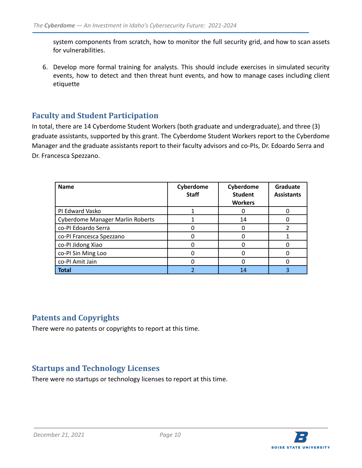system components from scratch, how to monitor the full security grid, and how to scan assets for vulnerabilities.

6. Develop more formal training for analysts. This should include exercises in simulated security events, how to detect and then threat hunt events, and how to manage cases including client etiquette

#### <span id="page-10-0"></span>**Faculty and Student Participation**

In total, there are 14 Cyberdome Student Workers (both graduate and undergraduate), and three (3) graduate assistants, supported by this grant. The Cyberdome Student Workers report to the Cyberdome Manager and the graduate assistants report to their faculty advisors and co-PIs, Dr. Edoardo Serra and Dr. Francesca Spezzano.

| <b>Name</b>                             | Cyberdome<br><b>Staff</b> | Cyberdome<br><b>Student</b><br><b>Workers</b> | Graduate<br><b>Assistants</b> |
|-----------------------------------------|---------------------------|-----------------------------------------------|-------------------------------|
| PI Edward Vasko                         |                           |                                               |                               |
| <b>Cyberdome Manager Marlin Roberts</b> |                           | 14                                            |                               |
| co-PI Edoardo Serra                     |                           |                                               |                               |
| co-PI Francesca Spezzano                |                           |                                               |                               |
| co-PI Jidong Xiao                       |                           |                                               |                               |
| co-PI Sin Ming Loo                      |                           |                                               |                               |
| co-PI Amit Jain                         |                           |                                               |                               |
| <b>Total</b>                            |                           | 14                                            |                               |

#### <span id="page-10-1"></span>**Patents and Copyrights**

There were no patents or copyrights to report at this time.

#### <span id="page-10-2"></span>**Startups and Technology Licenses**

There were no startups or technology licenses to report at this time.